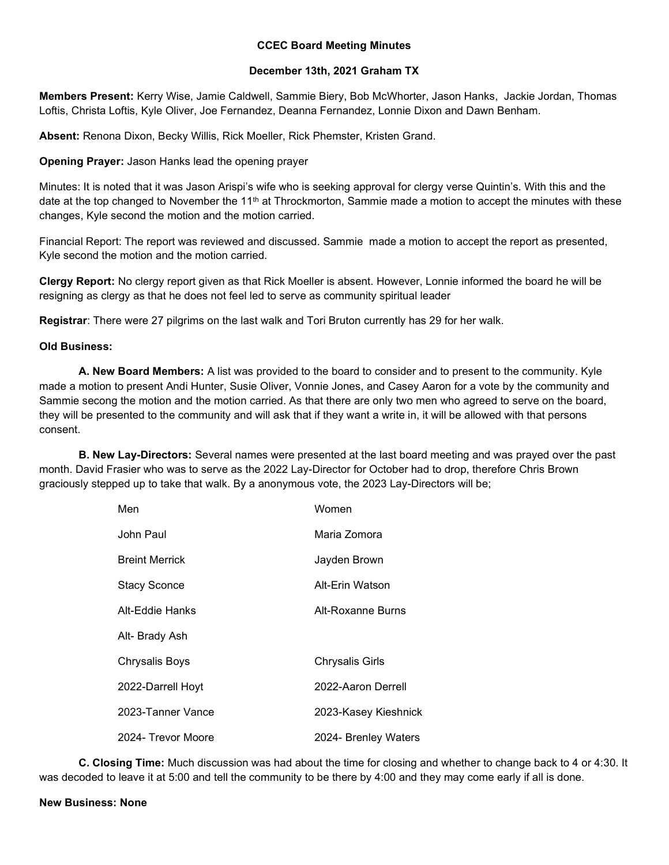## CCEC Board Meeting Minutes

## December 13th, 2021 Graham TX

Members Present: Kerry Wise, Jamie Caldwell, Sammie Biery, Bob McWhorter, Jason Hanks, Jackie Jordan, Thomas Loftis, Christa Loftis, Kyle Oliver, Joe Fernandez, Deanna Fernandez, Lonnie Dixon and Dawn Benham.

Absent: Renona Dixon, Becky Willis, Rick Moeller, Rick Phemster, Kristen Grand.

## Opening Prayer: Jason Hanks lead the opening prayer

Minutes: It is noted that it was Jason Arispi's wife who is seeking approval for clergy verse Quintin's. With this and the date at the top changed to November the 11<sup>th</sup> at Throckmorton, Sammie made a motion to accept the minutes with these changes, Kyle second the motion and the motion carried.

Financial Report: The report was reviewed and discussed. Sammie made a motion to accept the report as presented, Kyle second the motion and the motion carried.

Clergy Report: No clergy report given as that Rick Moeller is absent. However, Lonnie informed the board he will be resigning as clergy as that he does not feel led to serve as community spiritual leader

Registrar: There were 27 pilgrims on the last walk and Tori Bruton currently has 29 for her walk.

## Old Business:

 A. New Board Members: A list was provided to the board to consider and to present to the community. Kyle made a motion to present Andi Hunter, Susie Oliver, Vonnie Jones, and Casey Aaron for a vote by the community and Sammie secong the motion and the motion carried. As that there are only two men who agreed to serve on the board, they will be presented to the community and will ask that if they want a write in, it will be allowed with that persons consent.

**B. New Lay-Directors:** Several names were presented at the last board meeting and was prayed over the past month. David Frasier who was to serve as the 2022 Lay-Director for October had to drop, therefore Chris Brown graciously stepped up to take that walk. By a anonymous vote, the 2023 Lay-Directors will be;

| Men                   | Women                  |
|-----------------------|------------------------|
| John Paul             | Maria Zomora           |
| <b>Breint Merrick</b> | Jayden Brown           |
| <b>Stacy Sconce</b>   | Alt-Erin Watson        |
| Alt-Eddie Hanks       | Alt-Roxanne Burns      |
| Alt- Brady Ash        |                        |
| <b>Chrysalis Boys</b> | <b>Chrysalis Girls</b> |
| 2022-Darrell Hoyt     | 2022-Aaron Derrell     |
| 2023-Tanner Vance     | 2023-Kasey Kieshnick   |
| 2024- Trevor Moore    | 2024- Brenley Waters   |

 C. Closing Time: Much discussion was had about the time for closing and whether to change back to 4 or 4:30. It was decoded to leave it at 5:00 and tell the community to be there by 4:00 and they may come early if all is done.